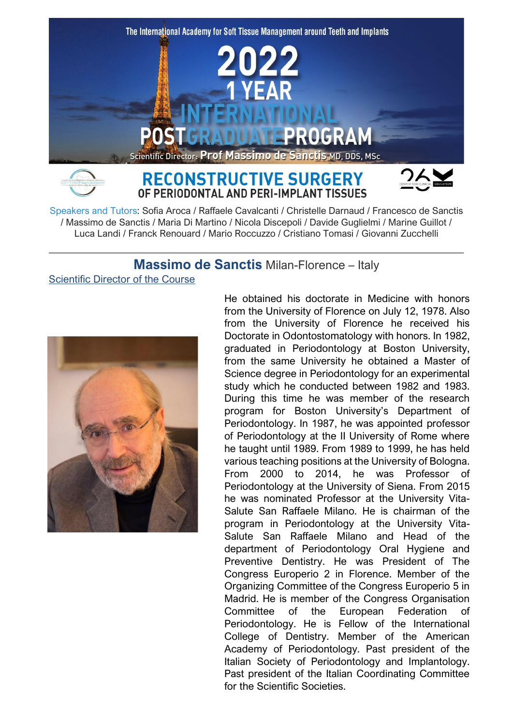

Speakers and Tutors: Sofia Aroca / Raffaele Cavalcanti / Christelle Darnaud / Francesco de Sanctis / Massimo de Sanctis / Maria Di Martino / Nicola Discepoli / Davide Guglielmi / Marine Guillot / Luca Landi / Franck Renouard / Mario Roccuzzo / Cristiano Tomasi / Giovanni Zucchelli

# **Massimo de Sanctis** Milan-Florence – Italy

Scientific Director of the Course



He obtained his doctorate in Medicine with honors from the University of Florence on July 12, 1978. Also from the University of Florence he received his Doctorate in Odontostomatology with honors. In 1982, graduated in Periodontology at Boston University, from the same University he obtained a Master of Science degree in Periodontology for an experimental study which he conducted between 1982 and 1983. During this time he was member of the research program for Boston University's Department of Periodontology. In 1987, he was appointed professor of Periodontology at the II University of Rome where he taught until 1989. From 1989 to 1999, he has held various teaching positions at the University of Bologna. From 2000 to 2014, he was Professor of Periodontology at the University of Siena. From 2015 he was nominated Professor at the University Vita-Salute San Raffaele Milano. He is chairman of the program in Periodontology at the University Vita-Salute San Raffaele Milano and Head of the department of Periodontology Oral Hygiene and Preventive Dentistry. He was President of The Congress Europerio 2 in Florence. Member of the Organizing Committee of the Congress Europerio 5 in Madrid. He is member of the Congress Organisation Committee of the European Federation of Periodontology. He is Fellow of the International College of Dentistry. Member of the American Academy of Periodontology. Past president of the Italian Society of Periodontology and Implantology. Past president of the Italian Coordinating Committee for the Scientific Societies.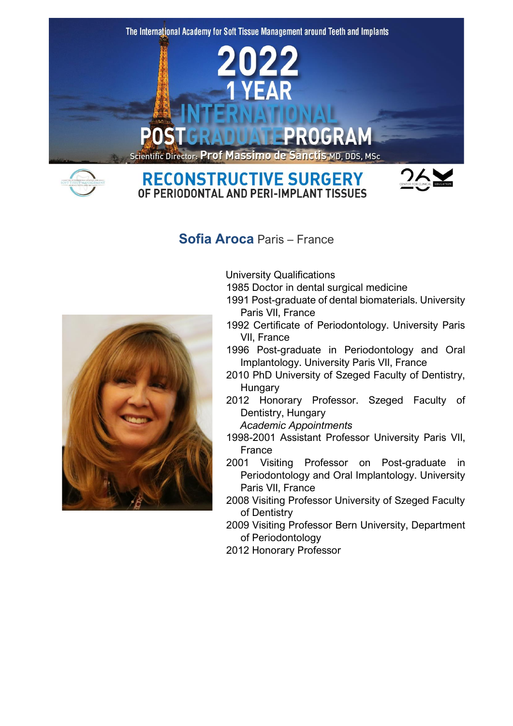



**RECONSTRUCTIVE SURGERY** OF PERIODONTAL AND PERI-IMPLANT TISSUES



# **Sofia Aroca** Paris – France



University Qualifications

1985 Doctor in dental surgical medicine

- 1991 Post-graduate of dental biomaterials. University Paris VII, France
- 1992 Certificate of Periodontology. University Paris VII, France
- 1996 Post-graduate in Periodontology and Oral Implantology. University Paris VII, France
- 2010 PhD University of Szeged Faculty of Dentistry, Hungary
- 2012 Honorary Professor. Szeged Faculty of Dentistry, Hungary

*Academic Appointments*

- 1998-2001 Assistant Professor University Paris VII, France
- 2001 Visiting Professor on Post-graduate in Periodontology and Oral Implantology. University Paris VII, France
- 2008 Visiting Professor University of Szeged Faculty of Dentistry
- 2009 Visiting Professor Bern University, Department of Periodontology
- 2012 Honorary Professor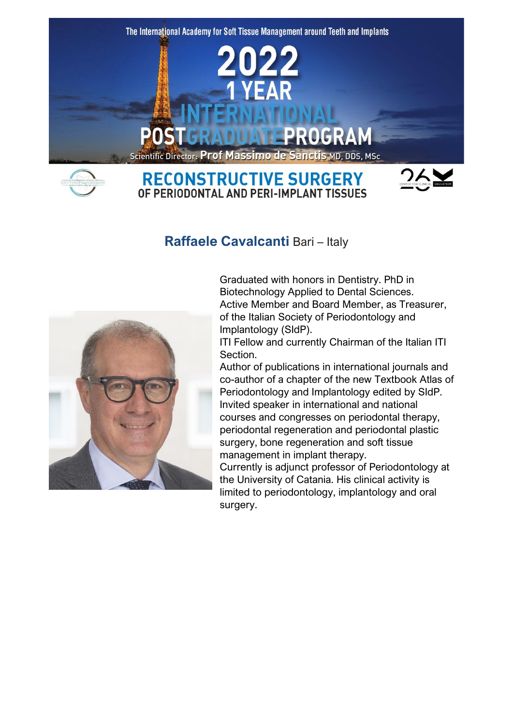

# **Raffaele Cavalcanti** Bari – Italy



Graduated with honors in Dentistry. PhD in Biotechnology Applied to Dental Sciences. Active Member and Board Member, as Treasurer, of the Italian Society of Periodontology and Implantology (SIdP).

ITI Fellow and currently Chairman of the Italian ITI Section.

Author of publications in international journals and co-author of a chapter of the new Textbook Atlas of Periodontology and Implantology edited by SIdP. Invited speaker in international and national courses and congresses on periodontal therapy, periodontal regeneration and periodontal plastic surgery, bone regeneration and soft tissue management in implant therapy.

Currently is adjunct professor of Periodontology at the University of Catania. His clinical activity is limited to periodontology, implantology and oral surgery.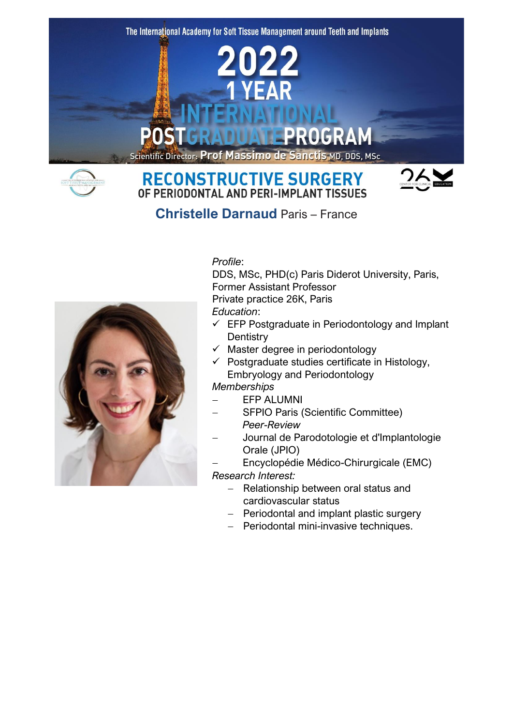The International Academy for Soft Tissue Management around Teeth and Implants



# Scientific Director: Prof Massimo de Sanctis MD, DDS, MSc





**Christelle Darnaud** Paris – France



#### *Profile*:

DDS, MSc, PHD(c) Paris Diderot University, Paris, Former Assistant Professor Private practice 26K, Paris

*Education*:

- $\checkmark$  EFP Postgraduate in Periodontology and Implant **Dentistry**
- $\checkmark$  Master degree in periodontology
- $\checkmark$  Postgraduate studies certificate in Histology, Embryology and Periodontology

*Memberships*

- − EFP ALUMNI
- − SFPIO Paris (Scientific Committee) *Peer-Review*
- − Journal de Parodotologie et d'Implantologie Orale (JPIO)
- − Encyclopédie Médico-Chirurgicale (EMC) *Research Interest:*
	- − Relationship between oral status and cardiovascular status
	- − Periodontal and implant plastic surgery
	- − Periodontal mini-invasive techniques.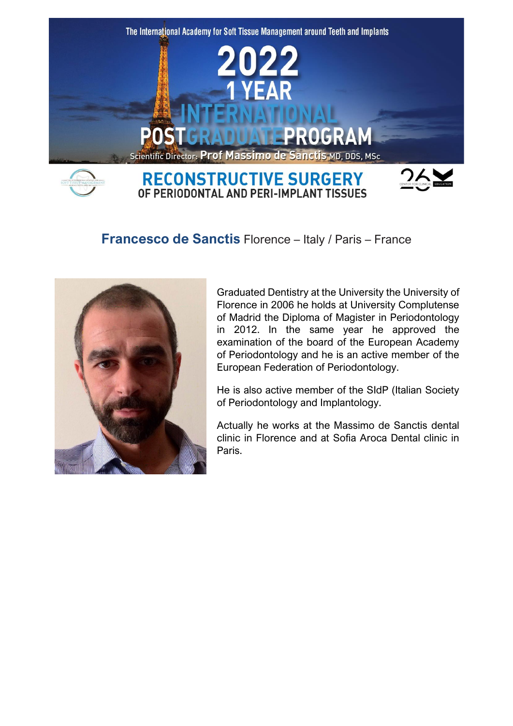

# **Francesco de Sanctis** Florence – Italy / Paris – France



Graduated Dentistry at the University the University of Florence in 2006 he holds at University Complutense of Madrid the Diploma of Magister in Periodontology in 2012. In the same year he approved the examination of the board of the European Academy of Periodontology and he is an active member of the European Federation of Periodontology.

He is also active member of the SIdP (Italian Society of Periodontology and Implantology.

Actually he works at the Massimo de Sanctis dental clinic in Florence and at Sofia Aroca Dental clinic in Paris.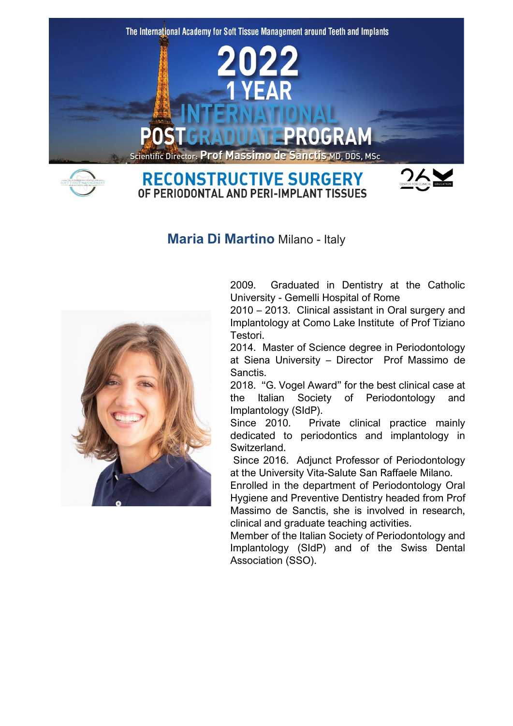

**Maria Di Martino** Milano - Italy



2009. Graduated in Dentistry at the Catholic University - Gemelli Hospital of Rome

2010 – 2013. Clinical assistant in Oral surgery and Implantology at Como Lake Institute of Prof Tiziano Testori.

2014. Master of Science degree in Periodontology at Siena University – Director Prof Massimo de Sanctis.

2018. "G. Vogel Award" for the best clinical case at the Italian Society of Periodontology and Implantology (SIdP).

Since 2010. Private clinical practice mainly dedicated to periodontics and implantology in Switzerland.

Since 2016. Adjunct Professor of Periodontology at the University Vita-Salute San Raffaele Milano.

Enrolled in the department of Periodontology Oral Hygiene and Preventive Dentistry headed from Prof Massimo de Sanctis, she is involved in research, clinical and graduate teaching activities.

Member of the Italian Society of Periodontology and Implantology (SIdP) and of the Swiss Dental Association (SSO).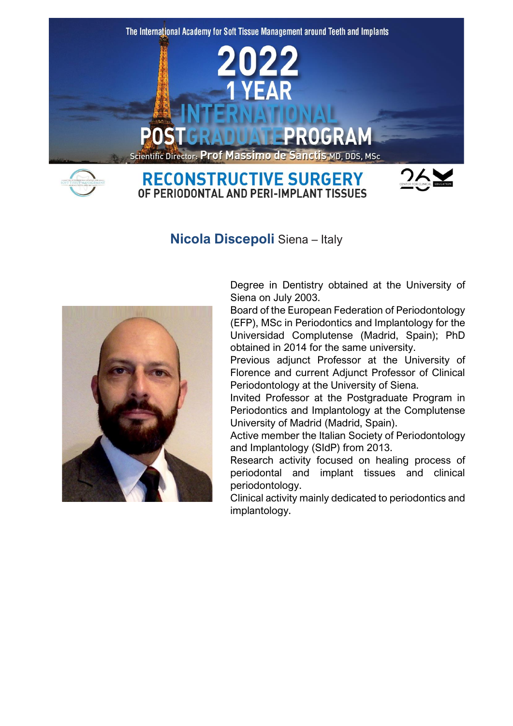

**Nicola Discepoli** Siena – Italy



Degree in Dentistry obtained at the University of Siena on July 2003.

Board of the European Federation of Periodontology (EFP), MSc in Periodontics and Implantology for the Universidad Complutense (Madrid, Spain); PhD obtained in 2014 for the same university.

Previous adjunct Professor at the University of Florence and current Adjunct Professor of Clinical Periodontology at the University of Siena.

Invited Professor at the Postgraduate Program in Periodontics and Implantology at the Complutense University of Madrid (Madrid, Spain).

Active member the Italian Society of Periodontology and Implantology (SIdP) from 2013.

Research activity focused on healing process of periodontal and implant tissues and clinical periodontology.

Clinical activity mainly dedicated to periodontics and implantology.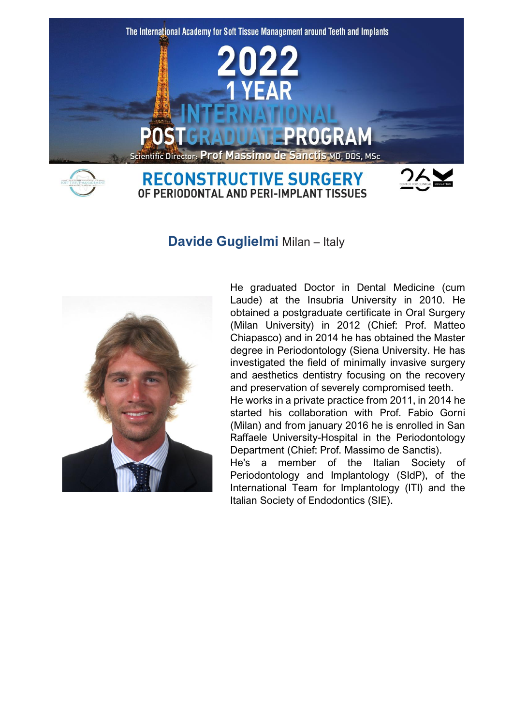

**Davide Guglielmi** Milan – Italy



He graduated Doctor in Dental Medicine (cum Laude) at the Insubria University in 2010. He obtained a postgraduate certificate in Oral Surgery (Milan University) in 2012 (Chief: Prof. Matteo Chiapasco) and in 2014 he has obtained the Master degree in Periodontology (Siena University. He has investigated the field of minimally invasive surgery and aesthetics dentistry focusing on the recovery and preservation of severely compromised teeth.

He works in a private practice from 2011, in 2014 he started his collaboration with Prof. Fabio Gorni (Milan) and from january 2016 he is enrolled in San Raffaele University-Hospital in the Periodontology Department (Chief: Prof. Massimo de Sanctis).

He's a member of the Italian Society of Periodontology and Implantology (SIdP), of the International Team for Implantology (ITI) and the Italian Society of Endodontics (SIE).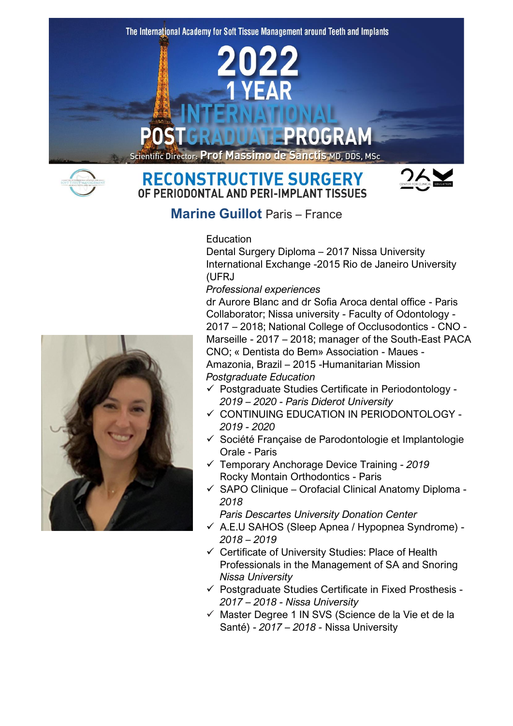The International Academy for Soft Tissue Management around Teeth and Implants

## **Scientific Director: Prof Massimo de Sanctis MD, DDS, MSc**

# **RECONSTRUCTIVE SURGERY** OF PERIODONTAL AND PERI-IMPLANT TISSUES



**Marine Guillot** Paris – France

### Education

Dental Surgery Diploma – 2017 Nissa University International Exchange -2015 Rio de Janeiro University (UFRJ)

*Professional experiences*

dr Aurore Blanc and dr Sofia Aroca dental office - Paris Collaborator; Nissa university - Faculty of Odontology - 2017 – 2018; National College of Occlusodontics - CNO - Marseille - 2017 – 2018; manager of the South-East PACA CNO; « Dentista do Bem» Association - Maues - Amazonia, Brazil – 2015 -Humanitarian Mission *Postgraduate Education*

- ✓ Postgraduate Studies Certificate in Periodontology *2019 – 2020 - Paris Diderot University*
- ✓ CONTINUING EDUCATION IN PERIODONTOLOGY *2019 - 2020*
- ✓ Société Française de Parodontologie et Implantologie Orale - Paris
- ✓ Temporary Anchorage Device Training *- 2019* Rocky Montain Orthodontics - Paris
- ✓ SAPO Clinique Orofacial Clinical Anatomy Diploma *2018*
	- *Paris Descartes University Donation Center*
- ✓ A.E.U SAHOS (Sleep Apnea / Hypopnea Syndrome) *2018 – 2019*
- ✓ Certificate of University Studies: Place of Health Professionals in the Management of SA and Snoring *Nissa University*
- ✓ Postgraduate Studies Certificate in Fixed Prosthesis *2017 – 2018 - Nissa University*
- ✓ Master Degree 1 IN SVS (Science de la Vie et de la Santé) - *2017 – 2018 -* Nissa University

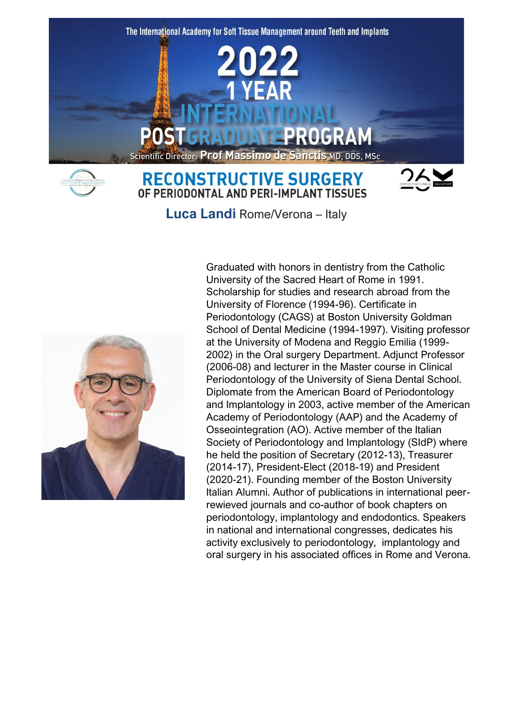



**RECONSTRUCTIVE SURGERY** OF PERIODONTAL AND PERI-IMPLANT TISSUES



**Luca Landi** Rome/Verona – Italy



Graduated with honors in dentistry from the Catholic University of the Sacred Heart of Rome in 1991. Scholarship for studies and research abroad from the University of Florence (1994-96). Certificate in Periodontology (CAGS) at Boston University Goldman School of Dental Medicine (1994-1997). Visiting professor at the University of Modena and Reggio Emilia (1999- 2002) in the Oral surgery Department. Adjunct Professor (2006-08) and lecturer in the Master course in Clinical Periodontology of the University of Siena Dental School. Diplomate from the American Board of Periodontology and Implantology in 2003, active member of the American Academy of Periodontology (AAP) and the Academy of Osseointegration (AO). Active member of the Italian Society of Periodontology and Implantology (SIdP) where he held the position of Secretary (2012-13), Treasurer (2014-17), President-Elect (2018-19) and President (2020-21). Founding member of the Boston University Italian Alumni. Author of publications in international peerrewieved journals and co-author of book chapters on periodontology, implantology and endodontics. Speakers in national and international congresses, dedicates his activity exclusively to periodontology, implantology and oral surgery in his associated offices in Rome and Verona.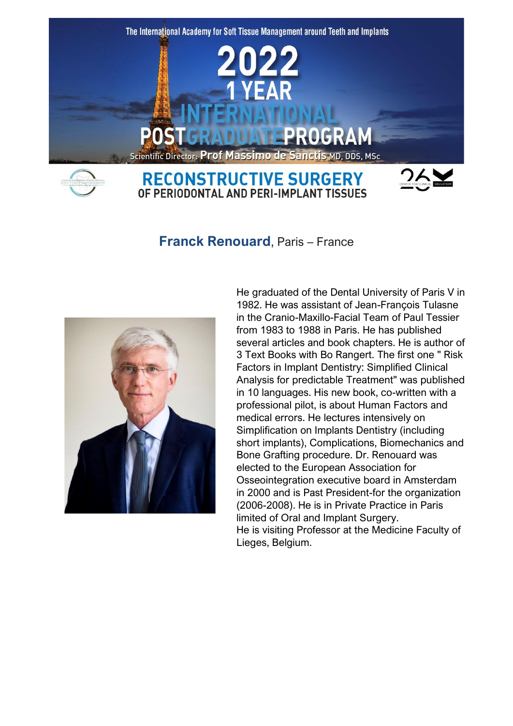

**Franck Renouard**, Paris – France



He graduated of the Dental University of Paris V in 1982. He was assistant of Jean-François Tulasne in the Cranio-Maxillo-Facial Team of Paul Tessier from 1983 to 1988 in Paris. He has published several articles and book chapters. He is author of 3 Text Books with Bo Rangert. The first one " Risk Factors in Implant Dentistry: Simplified Clinical Analysis for predictable Treatment" was published in 10 languages. His new book, co-written with a professional pilot, is about Human Factors and medical errors. He lectures intensively on Simplification on Implants Dentistry (including short implants), Complications, Biomechanics and Bone Grafting procedure. Dr. Renouard was elected to the European Association for Osseointegration executive board in Amsterdam in 2000 and is Past President-for the organization (2006-2008). He is in Private Practice in Paris limited of Oral and Implant Surgery. He is visiting Professor at the Medicine Faculty of Lieges, Belgium.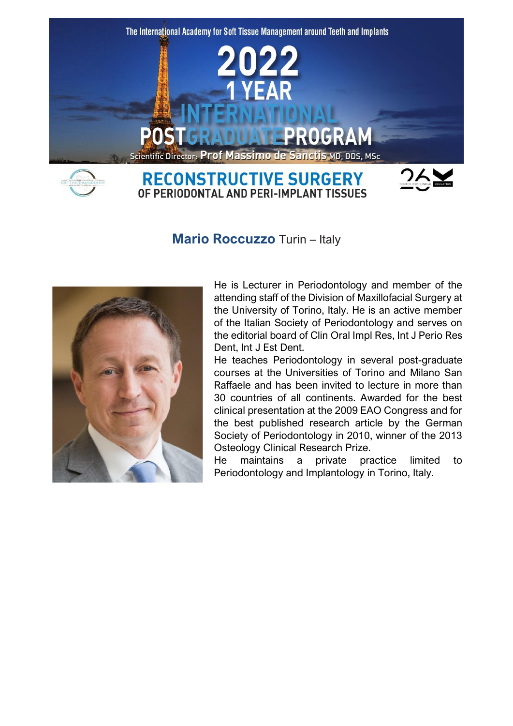

**Mario Roccuzzo** Turin – Italy



He is Lecturer in Periodontology and member of the attending staff of the Division of Maxillofacial Surgery at the University of Torino, Italy. He is an active member of the Italian Society of Periodontology and serves on the editorial board of Clin Oral Impl Res, Int J Perio Res Dent, Int J Est Dent.

He teaches Periodontology in several post-graduate courses at the Universities of Torino and Milano San Raffaele and has been invited to lecture in more than 30 countries of all continents. Awarded for the best clinical presentation at the 2009 EAO Congress and for the best published research article by the German Society of Periodontology in 2010, winner of the 2013 Osteology Clinical Research Prize.

He maintains a private practice limited to Periodontology and Implantology in Torino, Italy.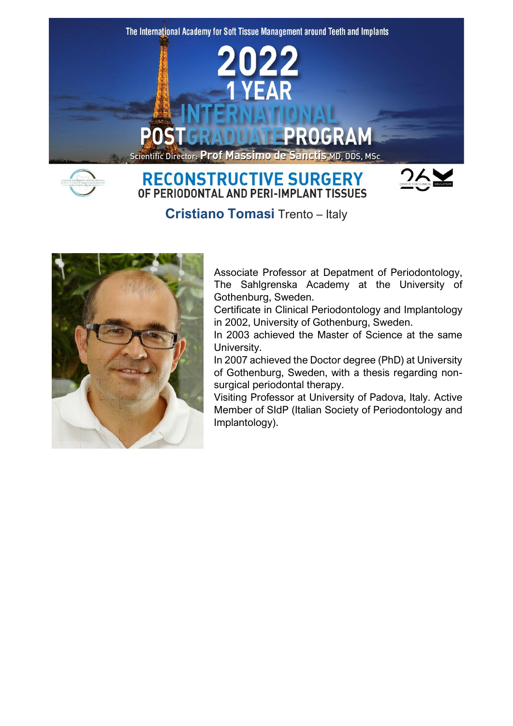

**Cristiano Tomasi** Trento – Italy

OF PERIODONTAL AND PERI-IMPLANT TISSUES



Associate Professor at Depatment of Periodontology, The Sahlgrenska Academy at the University of Gothenburg, Sweden.

Certificate in Clinical Periodontology and Implantology in 2002, University of Gothenburg, Sweden.

In 2003 achieved the Master of Science at the same University.

In 2007 achieved the Doctor degree (PhD) at University of Gothenburg, Sweden, with a thesis regarding nonsurgical periodontal therapy.

Visiting Professor at University of Padova, Italy. Active Member of SIdP (Italian Society of Periodontology and Implantology).